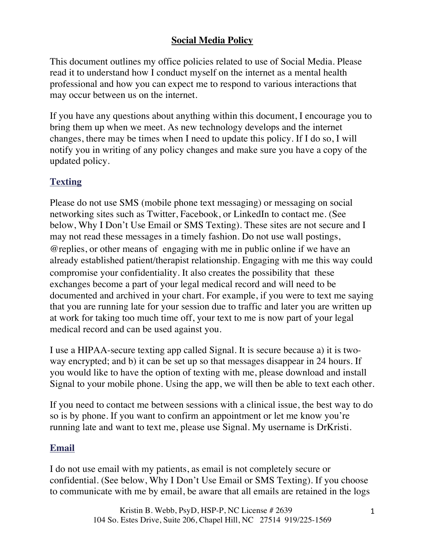## **Social Media Policy**

This document outlines my office policies related to use of Social Media. Please read it to understand how I conduct myself on the internet as a mental health professional and how you can expect me to respond to various interactions that may occur between us on the internet.

If you have any questions about anything within this document, I encourage you to bring them up when we meet. As new technology develops and the internet changes, there may be times when I need to update this policy. If I do so, I will notify you in writing of any policy changes and make sure you have a copy of the updated policy.

# **Texting**

Please do not use SMS (mobile phone text messaging) or messaging on social networking sites such as Twitter, Facebook, or LinkedIn to contact me. (See below, Why I Don't Use Email or SMS Texting). These sites are not secure and I may not read these messages in a timely fashion. Do not use wall postings, @replies, or other means of engaging with me in public online if we have an already established patient/therapist relationship. Engaging with me this way could compromise your confidentiality. It also creates the possibility that these exchanges become a part of your legal medical record and will need to be documented and archived in your chart. For example, if you were to text me saying that you are running late for your session due to traffic and later you are written up at work for taking too much time off, your text to me is now part of your legal medical record and can be used against you.

I use a HIPAA-secure texting app called Signal. It is secure because a) it is twoway encrypted; and b) it can be set up so that messages disappear in 24 hours. If you would like to have the option of texting with me, please download and install Signal to your mobile phone. Using the app, we will then be able to text each other.

If you need to contact me between sessions with a clinical issue, the best way to do so is by phone. If you want to confirm an appointment or let me know you're running late and want to text me, please use Signal. My username is DrKristi.

### **Email**

I do not use email with my patients, as email is not completely secure or confidential. (See below, Why I Don't Use Email or SMS Texting). If you choose to communicate with me by email, be aware that all emails are retained in the logs

> Kristin B. Webb, PsyD, HSP-P, NC License # 2639 104 So. Estes Drive, Suite 206, Chapel Hill, NC 27514 919/225-1569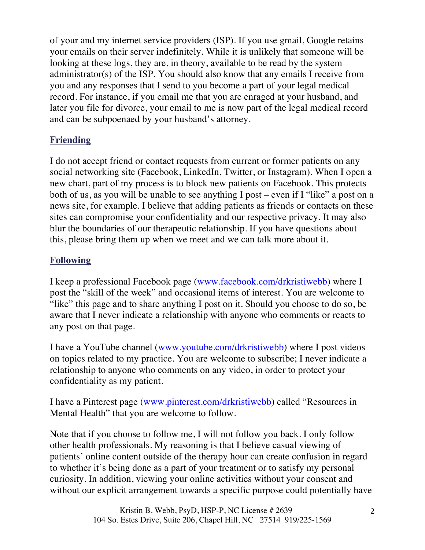of your and my internet service providers (ISP). If you use gmail, Google retains your emails on their server indefinitely. While it is unlikely that someone will be looking at these logs, they are, in theory, available to be read by the system administrator(s) of the ISP. You should also know that any emails I receive from you and any responses that I send to you become a part of your legal medical record. For instance, if you email me that you are enraged at your husband, and later you file for divorce, your email to me is now part of the legal medical record and can be subpoenaed by your husband's attorney.

## **Friending**

I do not accept friend or contact requests from current or former patients on any social networking site (Facebook, LinkedIn, Twitter, or Instagram). When I open a new chart, part of my process is to block new patients on Facebook. This protects both of us, as you will be unable to see anything I post – even if I "like" a post on a news site, for example. I believe that adding patients as friends or contacts on these sites can compromise your confidentiality and our respective privacy. It may also blur the boundaries of our therapeutic relationship. If you have questions about this, please bring them up when we meet and we can talk more about it.

### **Following**

I keep a professional Facebook page (www.facebook.com/drkristiwebb) where I post the "skill of the week" and occasional items of interest. You are welcome to "like" this page and to share anything I post on it. Should you choose to do so, be aware that I never indicate a relationship with anyone who comments or reacts to any post on that page.

I have a YouTube channel (www.youtube.com/drkristiwebb) where I post videos on topics related to my practice. You are welcome to subscribe; I never indicate a relationship to anyone who comments on any video, in order to protect your confidentiality as my patient.

I have a Pinterest page (www.pinterest.com/drkristiwebb) called "Resources in Mental Health" that you are welcome to follow.

Note that if you choose to follow me, I will not follow you back. I only follow other health professionals. My reasoning is that I believe casual viewing of patients' online content outside of the therapy hour can create confusion in regard to whether it's being done as a part of your treatment or to satisfy my personal curiosity. In addition, viewing your online activities without your consent and without our explicit arrangement towards a specific purpose could potentially have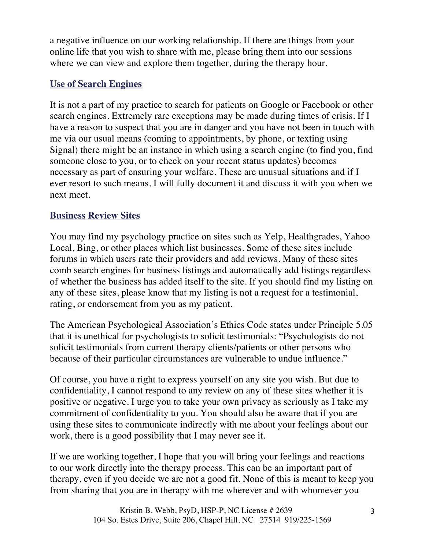a negative influence on our working relationship. If there are things from your online life that you wish to share with me, please bring them into our sessions where we can view and explore them together, during the therapy hour.

#### **Use of Search Engines**

It is not a part of my practice to search for patients on Google or Facebook or other search engines. Extremely rare exceptions may be made during times of crisis. If I have a reason to suspect that you are in danger and you have not been in touch with me via our usual means (coming to appointments, by phone, or texting using Signal) there might be an instance in which using a search engine (to find you, find someone close to you, or to check on your recent status updates) becomes necessary as part of ensuring your welfare. These are unusual situations and if I ever resort to such means, I will fully document it and discuss it with you when we next meet.

#### **Business Review Sites**

You may find my psychology practice on sites such as Yelp, Healthgrades, Yahoo Local, Bing, or other places which list businesses. Some of these sites include forums in which users rate their providers and add reviews. Many of these sites comb search engines for business listings and automatically add listings regardless of whether the business has added itself to the site. If you should find my listing on any of these sites, please know that my listing is not a request for a testimonial, rating, or endorsement from you as my patient.

The American Psychological Association's Ethics Code states under Principle 5.05 that it is unethical for psychologists to solicit testimonials: "Psychologists do not solicit testimonials from current therapy clients/patients or other persons who because of their particular circumstances are vulnerable to undue influence."

Of course, you have a right to express yourself on any site you wish. But due to confidentiality, I cannot respond to any review on any of these sites whether it is positive or negative. I urge you to take your own privacy as seriously as I take my commitment of confidentiality to you. You should also be aware that if you are using these sites to communicate indirectly with me about your feelings about our work, there is a good possibility that I may never see it.

If we are working together, I hope that you will bring your feelings and reactions to our work directly into the therapy process. This can be an important part of therapy, even if you decide we are not a good fit. None of this is meant to keep you from sharing that you are in therapy with me wherever and with whomever you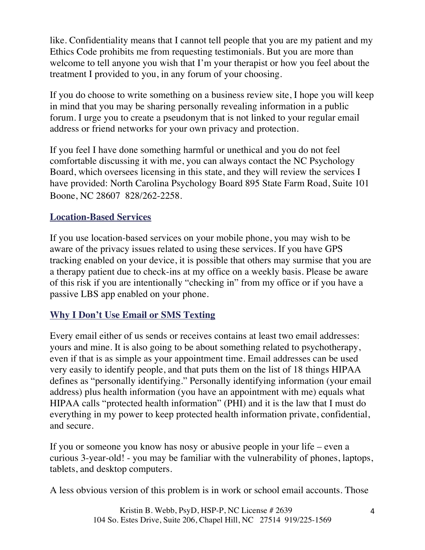like. Confidentiality means that I cannot tell people that you are my patient and my Ethics Code prohibits me from requesting testimonials. But you are more than welcome to tell anyone you wish that I'm your therapist or how you feel about the treatment I provided to you, in any forum of your choosing.

If you do choose to write something on a business review site, I hope you will keep in mind that you may be sharing personally revealing information in a public forum. I urge you to create a pseudonym that is not linked to your regular email address or friend networks for your own privacy and protection.

If you feel I have done something harmful or unethical and you do not feel comfortable discussing it with me, you can always contact the NC Psychology Board, which oversees licensing in this state, and they will review the services I have provided: North Carolina Psychology Board 895 State Farm Road, Suite 101 Boone, NC 28607 828/262-2258.

### **Location-Based Services**

If you use location-based services on your mobile phone, you may wish to be aware of the privacy issues related to using these services. If you have GPS tracking enabled on your device, it is possible that others may surmise that you are a therapy patient due to check-ins at my office on a weekly basis. Please be aware of this risk if you are intentionally "checking in" from my office or if you have a passive LBS app enabled on your phone.

### **Why I Don't Use Email or SMS Texting**

Every email either of us sends or receives contains at least two email addresses: yours and mine. It is also going to be about something related to psychotherapy, even if that is as simple as your appointment time. Email addresses can be used very easily to identify people, and that puts them on the list of 18 things HIPAA defines as "personally identifying." Personally identifying information (your email address) plus health information (you have an appointment with me) equals what HIPAA calls "protected health information" (PHI) and it is the law that I must do everything in my power to keep protected health information private, confidential, and secure.

If you or someone you know has nosy or abusive people in your life – even a curious 3-year-old! - you may be familiar with the vulnerability of phones, laptops, tablets, and desktop computers.

A less obvious version of this problem is in work or school email accounts. Those

Kristin B. Webb, PsyD, HSP-P, NC License # 2639 104 So. Estes Drive, Suite 206, Chapel Hill, NC 27514 919/225-1569